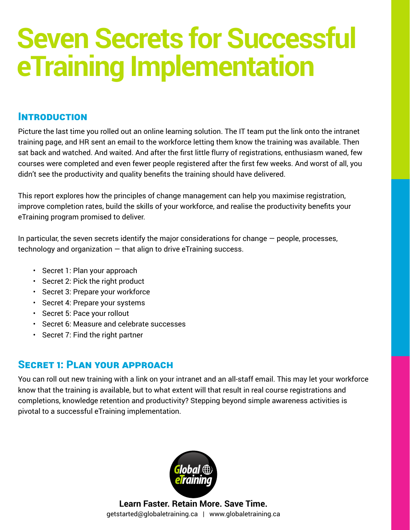# **Seven Secrets for Successful eTraining Implementation**

## **INTRODUCTION**

Picture the last time you rolled out an online learning solution. The IT team put the link onto the intranet training page, and HR sent an email to the workforce letting them know the training was available. Then sat back and watched. And waited. And after the first little flurry of registrations, enthusiasm waned, few courses were completed and even fewer people registered after the first few weeks. And worst of all, you didn't see the productivity and quality benefits the training should have delivered.

This report explores how the principles of change management can help you maximise registration, improve completion rates, build the skills of your workforce, and realise the productivity benefits your eTraining program promised to deliver.

In particular, the seven secrets identify the major considerations for change  $-$  people, processes, technology and organization  $-$  that align to drive eTraining success.

- Secret 1: Plan your approach
- Secret 2: Pick the right product
- Secret 3: Prepare your workforce
- Secret 4: Prepare your systems
- Secret 5: Pace your rollout
- Secret 6: Measure and celebrate successes
- Secret 7: Find the right partner

# Secret 1: Plan your approach

You can roll out new training with a link on your intranet and an all-staff email. This may let your workforce know that the training is available, but to what extent will that result in real course registrations and completions, knowledge retention and productivity? Stepping beyond simple awareness activities is pivotal to a successful eTraining implementation.

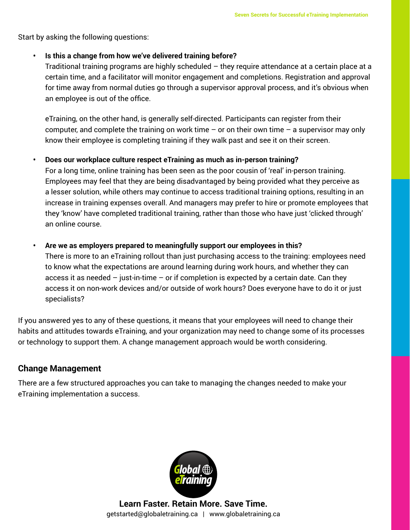Start by asking the following questions:

#### **• Is this a change from how we've delivered training before?**

Traditional training programs are highly scheduled  $-$  they require attendance at a certain place at a certain time, and a facilitator will monitor engagement and completions. Registration and approval for time away from normal duties go through a supervisor approval process, and it's obvious when an employee is out of the office.

eTraining, on the other hand, is generally self-directed. Participants can register from their computer, and complete the training on work time  $-$  or on their own time  $-$  a supervisor may only know their employee is completing training if they walk past and see it on their screen.

#### **• Does our workplace culture respect eTraining as much as in-person training?**

For a long time, online training has been seen as the poor cousin of 'real' in-person training. Employees may feel that they are being disadvantaged by being provided what they perceive as a lesser solution, while others may continue to access traditional training options, resulting in an increase in training expenses overall. And managers may prefer to hire or promote employees that they 'know' have completed traditional training, rather than those who have just 'clicked through' an online course.

#### **• Are we as employers prepared to meaningfully support our employees in this?**

There is more to an eTraining rollout than just purchasing access to the training: employees need to know what the expectations are around learning during work hours, and whether they can access it as needed  $-$  just-in-time  $-$  or if completion is expected by a certain date. Can they access it on non-work devices and/or outside of work hours? Does everyone have to do it or just specialists?

If you answered yes to any of these questions, it means that your employees will need to change their habits and attitudes towards eTraining, and your organization may need to change some of its processes or technology to support them. A change management approach would be worth considering.

#### **Change Management**

There are a few structured approaches you can take to managing the changes needed to make your eTraining implementation a success.

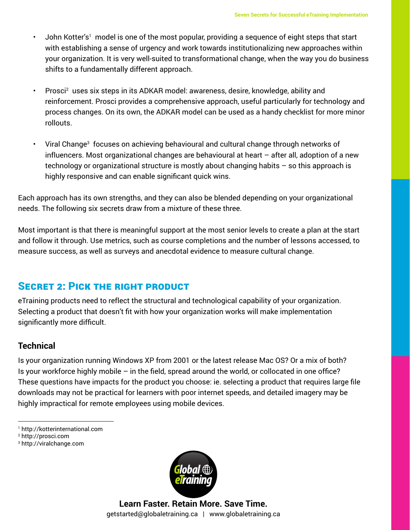- John Kotter's1 model is one of the most popular, providing a sequence of eight steps that start with establishing a sense of urgency and work towards institutionalizing new approaches within your organization. It is very well-suited to transformational change, when the way you do business shifts to a fundamentally different approach.
- Prosci<sup>2</sup> uses six steps in its ADKAR model: awareness, desire, knowledge, ability and reinforcement. Prosci provides a comprehensive approach, useful particularly for technology and process changes. On its own, the ADKAR model can be used as a handy checklist for more minor rollouts.
- $\,$  Viral Change $^3\,$  focuses on achieving behavioural and cultural change through networks of influencers. Most organizational changes are behavioural at heart – after all, adoption of a new technology or organizational structure is mostly about changing habits – so this approach is highly responsive and can enable significant quick wins.

Each approach has its own strengths, and they can also be blended depending on your organizational needs. The following six secrets draw from a mixture of these three.

Most important is that there is meaningful support at the most senior levels to create a plan at the start and follow it through. Use metrics, such as course completions and the number of lessons accessed, to measure success, as well as surveys and anecdotal evidence to measure cultural change.

## SECRET 2: PICK THE RIGHT PRODUCT

eTraining products need to reflect the structural and technological capability of your organization. Selecting a product that doesn't fit with how your organization works will make implementation significantly more difficult.

## **Technical**

Is your organization running Windows XP from 2001 or the latest release Mac OS? Or a mix of both? Is your workforce highly mobile – in the field, spread around the world, or collocated in one office? These questions have impacts for the product you choose: ie. selecting a product that requires large file downloads may not be practical for learners with poor internet speeds, and detailed imagery may be highly impractical for remote employees using mobile devices.

- 1 http://kotterinternational.com
- 2 http://prosci.com
- 3 http://viralchange.com

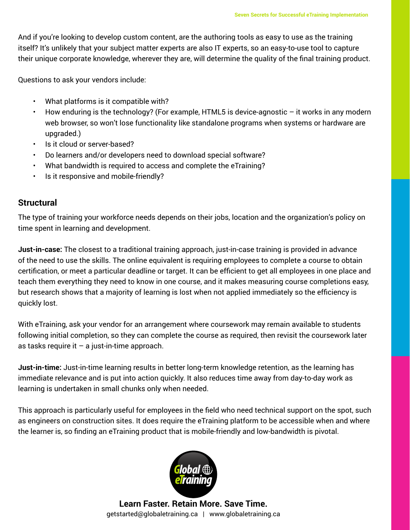And if you're looking to develop custom content, are the authoring tools as easy to use as the training itself? It's unlikely that your subject matter experts are also IT experts, so an easy-to-use tool to capture their unique corporate knowledge, wherever they are, will determine the quality of the final training product.

Questions to ask your vendors include:

- What platforms is it compatible with?
- $\cdot$  How enduring is the technology? (For example, HTML5 is device-agnostic  $-$  it works in any modern web browser, so won't lose functionality like standalone programs when systems or hardware are upgraded.)
- Is it cloud or server-based?
- Do learners and/or developers need to download special software?
- What bandwidth is required to access and complete the eTraining?
- Is it responsive and mobile-friendly?

#### **Structural**

The type of training your workforce needs depends on their jobs, location and the organization's policy on time spent in learning and development.

**Just-in-case:** The closest to a traditional training approach, just-in-case training is provided in advance of the need to use the skills. The online equivalent is requiring employees to complete a course to obtain certification, or meet a particular deadline or target. It can be efficient to get all employees in one place and teach them everything they need to know in one course, and it makes measuring course completions easy, but research shows that a majority of learning is lost when not applied immediately so the efficiency is quickly lost.

With eTraining, ask your vendor for an arrangement where coursework may remain available to students following initial completion, so they can complete the course as required, then revisit the coursework later as tasks require it  $-$  a just-in-time approach.

**Just-in-time:** Just-in-time learning results in better long-term knowledge retention, as the learning has immediate relevance and is put into action quickly. It also reduces time away from day-to-day work as learning is undertaken in small chunks only when needed.

This approach is particularly useful for employees in the field who need technical support on the spot, such as engineers on construction sites. It does require the eTraining platform to be accessible when and where the learner is, so finding an eTraining product that is mobile-friendly and low-bandwidth is pivotal.

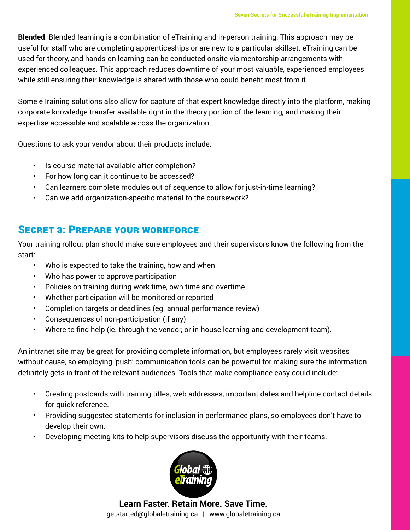**Blended**: Blended learning is a combination of eTraining and in-person training. This approach may be useful for staff who are completing apprenticeships or are new to a particular skillset. eTraining can be used for theory, and hands-on learning can be conducted onsite via mentorship arrangements with experienced colleagues. This approach reduces downtime of your most valuable, experienced employees while still ensuring their knowledge is shared with those who could benefit most from it.

Some eTraining solutions also allow for capture of that expert knowledge directly into the platform, making corporate knowledge transfer available right in the theory portion of the learning, and making their expertise accessible and scalable across the organization.

Questions to ask your vendor about their products include:

- Is course material available after completion?
- For how long can it continue to be accessed?
- Can learners complete modules out of sequence to allow for just-in-time learning?
- Can we add organization-specific material to the coursework?

## Secret 3: Prepare your workforce

Your training rollout plan should make sure employees and their supervisors know the following from the start:

- Who is expected to take the training, how and when
- Who has power to approve participation
- Policies on training during work time, own time and overtime
- Whether participation will be monitored or reported
- Completion targets or deadlines (eg. annual performance review)
- Consequences of non-participation (if any)
- Where to find help (ie. through the vendor, or in-house learning and development team).

An intranet site may be great for providing complete information, but employees rarely visit websites without cause, so employing 'push' communication tools can be powerful for making sure the information definitely gets in front of the relevant audiences. Tools that make compliance easy could include:

- Creating postcards with training titles, web addresses, important dates and helpline contact details for quick reference.
- Providing suggested statements for inclusion in performance plans, so employees don't have to develop their own.
- Developing meeting kits to help supervisors discuss the opportunity with their teams.

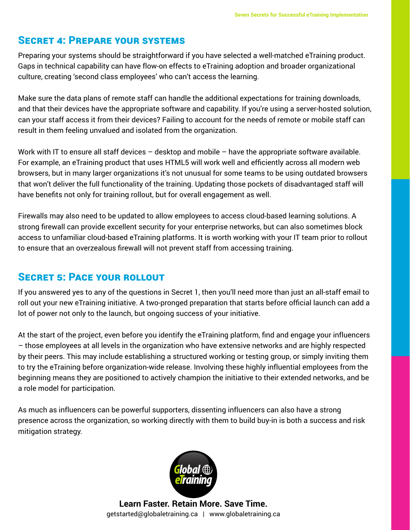## Secret 4: Prepare your systems

Preparing your systems should be straightforward if you have selected a well-matched eTraining product. Gaps in technical capability can have flow-on effects to eTraining adoption and broader organizational culture, creating 'second class employees' who can't access the learning.

Make sure the data plans of remote staff can handle the additional expectations for training downloads, and that their devices have the appropriate software and capability. If you're using a server-hosted solution, can your staff access it from their devices? Failing to account for the needs of remote or mobile staff can result in them feeling unvalued and isolated from the organization.

Work with IT to ensure all staff devices – desktop and mobile – have the appropriate software available. For example, an eTraining product that uses HTML5 will work well and efficiently across all modern web browsers, but in many larger organizations it's not unusual for some teams to be using outdated browsers that won't deliver the full functionality of the training. Updating those pockets of disadvantaged staff will have benefits not only for training rollout, but for overall engagement as well.

Firewalls may also need to be updated to allow employees to access cloud-based learning solutions. A strong firewall can provide excellent security for your enterprise networks, but can also sometimes block access to unfamiliar cloud-based eTraining platforms. It is worth working with your IT team prior to rollout to ensure that an overzealous firewall will not prevent staff from accessing training.

## SECRET 5: PACE YOUR ROLLOUT

If you answered yes to any of the questions in Secret 1, then you'll need more than just an all-staff email to roll out your new eTraining initiative. A two-pronged preparation that starts before official launch can add a lot of power not only to the launch, but ongoing success of your initiative.

At the start of the project, even before you identify the eTraining platform, find and engage your influencers – those employees at all levels in the organization who have extensive networks and are highly respected by their peers. This may include establishing a structured working or testing group, or simply inviting them to try the eTraining before organization-wide release. Involving these highly influential employees from the beginning means they are positioned to actively champion the initiative to their extended networks, and be a role model for participation.

As much as influencers can be powerful supporters, dissenting influencers can also have a strong presence across the organization, so working directly with them to build buy-in is both a success and risk mitigation strategy.

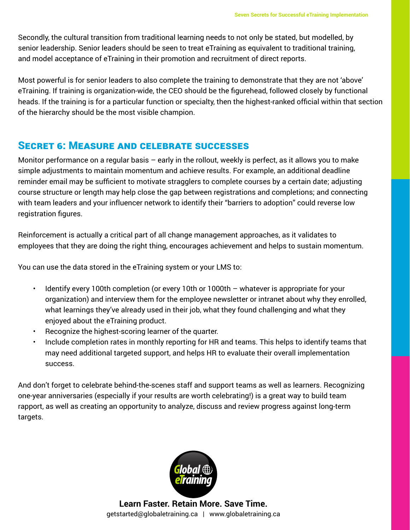Secondly, the cultural transition from traditional learning needs to not only be stated, but modelled, by senior leadership. Senior leaders should be seen to treat eTraining as equivalent to traditional training, and model acceptance of eTraining in their promotion and recruitment of direct reports.

Most powerful is for senior leaders to also complete the training to demonstrate that they are not 'above' eTraining. If training is organization-wide, the CEO should be the figurehead, followed closely by functional heads. If the training is for a particular function or specialty, then the highest-ranked official within that section of the hierarchy should be the most visible champion.

## Secret 6: Measure and celebrate successes

Monitor performance on a regular basis – early in the rollout, weekly is perfect, as it allows you to make simple adjustments to maintain momentum and achieve results. For example, an additional deadline reminder email may be sufficient to motivate stragglers to complete courses by a certain date; adjusting course structure or length may help close the gap between registrations and completions; and connecting with team leaders and your influencer network to identify their "barriers to adoption" could reverse low registration figures.

Reinforcement is actually a critical part of all change management approaches, as it validates to employees that they are doing the right thing, encourages achievement and helps to sustain momentum.

You can use the data stored in the eTraining system or your LMS to:

- Identify every 100th completion (or every 10th or 1000th whatever is appropriate for your organization) and interview them for the employee newsletter or intranet about why they enrolled, what learnings they've already used in their job, what they found challenging and what they enjoyed about the eTraining product.
- Recognize the highest-scoring learner of the quarter.
- Include completion rates in monthly reporting for HR and teams. This helps to identify teams that may need additional targeted support, and helps HR to evaluate their overall implementation success.

And don't forget to celebrate behind-the-scenes staff and support teams as well as learners. Recognizing one-year anniversaries (especially if your results are worth celebrating!) is a great way to build team rapport, as well as creating an opportunity to analyze, discuss and review progress against long-term targets.

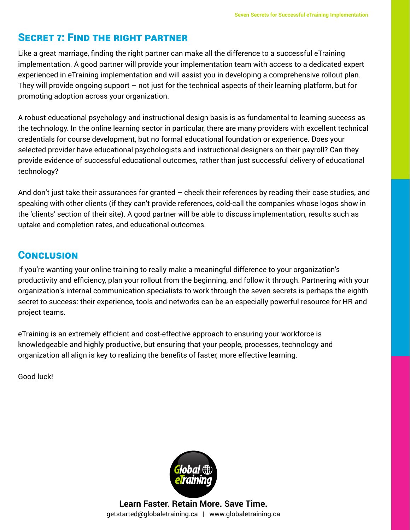## Secret 7: Find the right partner

Like a great marriage, finding the right partner can make all the difference to a successful eTraining implementation. A good partner will provide your implementation team with access to a dedicated expert experienced in eTraining implementation and will assist you in developing a comprehensive rollout plan. They will provide ongoing support – not just for the technical aspects of their learning platform, but for promoting adoption across your organization.

A robust educational psychology and instructional design basis is as fundamental to learning success as the technology. In the online learning sector in particular, there are many providers with excellent technical credentials for course development, but no formal educational foundation or experience. Does your selected provider have educational psychologists and instructional designers on their payroll? Can they provide evidence of successful educational outcomes, rather than just successful delivery of educational technology?

And don't just take their assurances for granted – check their references by reading their case studies, and speaking with other clients (if they can't provide references, cold-call the companies whose logos show in the 'clients' section of their site). A good partner will be able to discuss implementation, results such as uptake and completion rates, and educational outcomes.

## **CONCLUSION**

If you're wanting your online training to really make a meaningful difference to your organization's productivity and efficiency, plan your rollout from the beginning, and follow it through. Partnering with your organization's internal communication specialists to work through the seven secrets is perhaps the eighth secret to success: their experience, tools and networks can be an especially powerful resource for HR and project teams.

eTraining is an extremely efficient and cost-effective approach to ensuring your workforce is knowledgeable and highly productive, but ensuring that your people, processes, technology and organization all align is key to realizing the benefits of faster, more effective learning.

Good luck!